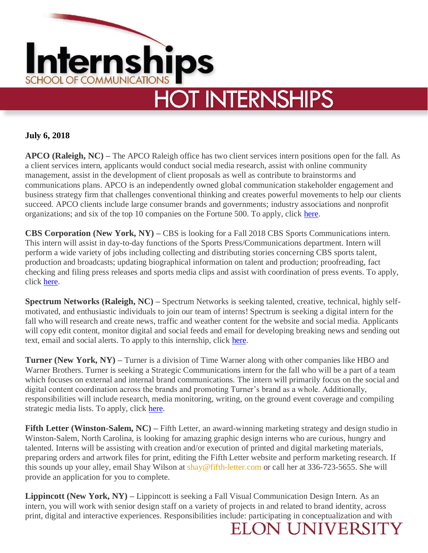

**July 6, 2018**

**APCO (Raleigh, NC) –** The APCO Raleigh office has two client services intern positions open for the fall. As a client services intern, applicants would conduct social media research, assist with online community management, assist in the development of client proposals as well as contribute to brainstorms and communications plans. APCO is an independently owned global communication stakeholder engagement and business strategy firm that challenges conventional thinking and creates powerful movements to help our clients succeed. APCO clients include large consumer brands and governments; industry associations and nonprofit organizations; and six of the top 10 companies on the Fortune 500. To apply, click [here.](https://www.apcoworldwide.com/about-us/our-people/careers/interns?p=job%2Fo0iM7fwV)

**CBS Corporation (New York, NY) –** CBS is looking for a Fall 2018 CBS Sports Communications intern. This intern will assist in day-to-day functions of the Sports Press/Communications department. Intern will perform a wide variety of jobs including collecting and distributing stories concerning CBS sports talent, production and broadcasts; updating biographical information on talent and production; proofreading, fact checking and filing press releases and sports media clips and assist with coordination of press events. To apply, click [here.](https://cbscorporation.jobs/new-york-ny/fall-2018-cbs-sports-communications-intern/6FAACC491BD24C7FB89E4259DF201C3A/job/)

**Spectrum Networks (Raleigh, NC) –** Spectrum Networks is seeking talented, creative, technical, highly selfmotivated, and enthusiastic individuals to join our team of interns! Spectrum is seeking a digital intern for the fall who will research and create news, traffic and weather content for the website and social media. Applicants will copy edit content, monitor digital and social feeds and email for developing breaking news and sending out text, email and social alerts. To apply to this internship, click [here.](https://jobs.spectrum.com/job/raleigh/spectrum-news-raleigh-fall-2018-internship-digital/4673/8450233)

**Turner (New York, NY) –** Turner is a division of Time Warner along with other companies like HBO and Warner Brothers. Turner is seeking a Strategic Communications intern for the fall who will be a part of a team which focuses on external and internal brand communications. The intern will primarily focus on the social and digital content coordination across the brands and promoting Turner's brand as a whole. Additionally, responsibilities will include research, media monitoring, writing, on the ground event coverage and compiling strategic media lists. To apply, click [here.](https://www.turnerjobs.com/job/new-york/fall-2018-intern-strategic-communications-nyc/1174/8245279)

**Fifth Letter (Winston-Salem, NC) – Fifth Letter, an award-winning marketing strategy and design studio in** Winston-Salem, North Carolina, is looking for amazing graphic design interns who are curious, hungry and talented. Interns will be assisting with creation and/or execution of printed and digital marketing materials, preparing orders and artwork files for print, editing the Fifth Letter website and perform marketing research. If this sounds up your alley, email Shay Wilson at [shay@fifth-letter.com](mailto:shay@fifth-letter.com) or call her at 336-723-5655. She will provide an application for you to complete.

**Lippincott (New York, NY) –** Lippincott is seeking a Fall Visual Communication Design Intern. As an intern, you will work with senior design staff on a variety of projects in and related to brand identity, across print, digital and interactive experiences. Responsibilities include: participating in conceptualization and with

**ELON UNIVERSIT**